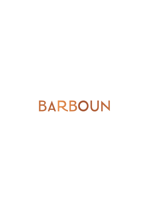**BARBOUN**